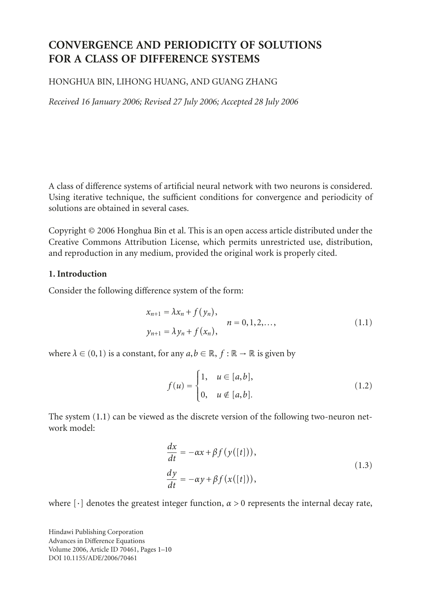# **CONVERGENCE AND PERIODICITY OF SOLUTIONS FOR A CLASS OF DIFFERENCE SYSTEMS**

## HONGHUA BIN, LIHONG HUANG, AND GUANG ZHANG

*Received 16 January 2006; Revised 27 July 2006; Accepted 28 July 2006*

A class of difference systems of artificial neural network with two neurons is considered. Using iterative technique, the sufficient conditions for convergence and periodicity of solutions are obtained in several cases.

Copyright © 2006 Honghua Bin et al. This is an open access article distributed under the Creative Commons Attribution License, which permits unrestricted use, distribution, and reproduction in any medium, provided the original work is properly cited.

#### **1. Introduction**

Consider the following difference system of the form:

$$
x_{n+1} = \lambda x_n + f(y_n),
$$
  
\n
$$
y_{n+1} = \lambda y_n + f(x_n),
$$
  
\n
$$
n = 0, 1, 2, ...,
$$
  
\n(1.1)

where  $\lambda \in (0,1)$  is a constant, for any  $a, b \in \mathbb{R}$ ,  $f : \mathbb{R} \to \mathbb{R}$  is given by

<span id="page-0-1"></span><span id="page-0-0"></span>
$$
f(u) = \begin{cases} 1, & u \in [a, b], \\ 0, & u \notin [a, b]. \end{cases}
$$
 (1.2)

The system [\(1.1\)](#page-0-0) can be viewed as the discrete version of the following two-neuron network model:

<span id="page-0-2"></span>
$$
\frac{dx}{dt} = -\alpha x + \beta f(y([t])),
$$
\n
$$
\frac{dy}{dt} = -\alpha y + \beta f(x([t])),
$$
\n(1.3)

where  $\lceil \cdot \rceil$  denotes the greatest integer function,  $\alpha > 0$  represents the internal decay rate,

Hindawi Publishing Corporation Advances in Difference Equations Volume 2006, Article ID 70461, Pages 1[–10](#page-9-0) DOI 10.1155/ADE/2006/70461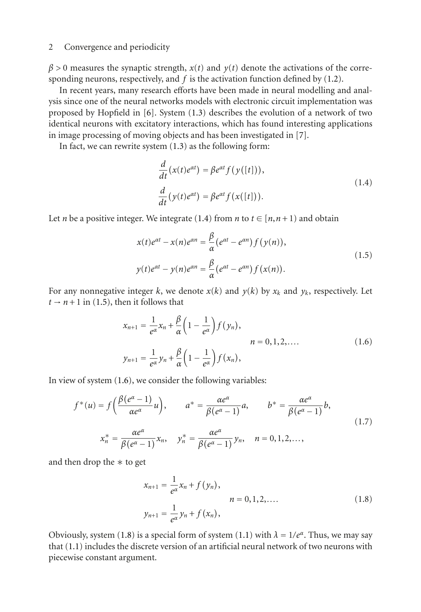#### 2 Convergence and periodicity

 $\beta$  > 0 measures the synaptic strength,  $x(t)$  and  $y(t)$  denote the activations of the corresponding neurons, respectively, and *f* is the activation function defined by [\(1.2\)](#page-0-1).

In recent years, many research efforts have been made in neural modelling and analysis since one of the neural networks models with electronic circuit implementation was proposed by Hopfield in [\[6\]](#page-9-1). System [\(1.3\)](#page-0-2) describes the evolution of a network of two identical neurons with excitatory interactions, which has found interesting applications in image processing of moving objects and has been investigated in [\[7](#page-9-2)].

In fact, we can rewrite system [\(1.3\)](#page-0-2) as the following form:

<span id="page-1-1"></span><span id="page-1-0"></span>
$$
\frac{d}{dt}(x(t)e^{\alpha t}) = \beta e^{\alpha t} f(y([t])),
$$
\n
$$
\frac{d}{dt}(y(t)e^{\alpha t}) = \beta e^{\alpha t} f(x([t])).
$$
\n(1.4)

Let *n* be a positive integer. We integrate [\(1.4\)](#page-1-0) from *n* to  $t \in [n, n+1)$  and obtain

$$
x(t)e^{\alpha t} - x(n)e^{\alpha n} = \frac{\beta}{\alpha}(e^{\alpha t} - e^{\alpha n})f(y(n)),
$$
  

$$
y(t)e^{\alpha t} - y(n)e^{\alpha n} = \frac{\beta}{\alpha}(e^{\alpha t} - e^{\alpha n})f(x(n)).
$$
 (1.5)

For any nonnegative integer *k*, we denote  $x(k)$  and  $y(k)$  by  $x_k$  and  $y_k$ , respectively. Let  $t \rightarrow n+1$  in [\(1.5\)](#page-1-1), then it follows that

<span id="page-1-2"></span>
$$
x_{n+1} = \frac{1}{e^{\alpha}} x_n + \frac{\beta}{\alpha} \left( 1 - \frac{1}{e^{\alpha}} \right) f(y_n),
$$
  
\n
$$
n = 0, 1, 2, ....
$$
  
\n
$$
y_{n+1} = \frac{1}{e^{\alpha}} y_n + \frac{\beta}{\alpha} \left( 1 - \frac{1}{e^{\alpha}} \right) f(x_n),
$$
  
\n(1.6)

In view of system [\(1.6\)](#page-1-2), we consider the following variables:

$$
f^*(u) = f\left(\frac{\beta(e^{\alpha} - 1)}{\alpha e^{\alpha}}u\right), \qquad a^* = \frac{\alpha e^{\alpha}}{\beta(e^{\alpha} - 1)}a, \qquad b^* = \frac{\alpha e^{\alpha}}{\beta(e^{\alpha} - 1)}b,
$$
  

$$
x_n^* = \frac{\alpha e^{\alpha}}{\beta(e^{\alpha} - 1)}x_n, \quad y_n^* = \frac{\alpha e^{\alpha}}{\beta(e^{\alpha} - 1)}y_n, \quad n = 0, 1, 2, \dots,
$$
 (1.7)

and then drop the ∗ to get

<span id="page-1-3"></span>
$$
x_{n+1} = \frac{1}{e^{\alpha}} x_n + f(y_n),
$$
  
\n
$$
n = 0, 1, 2, ....
$$
  
\n
$$
y_{n+1} = \frac{1}{e^{\alpha}} y_n + f(x_n),
$$
  
\n(1.8)

Obviously, system [\(1.8\)](#page-1-3) is a special form of system [\(1.1\)](#page-0-0) with  $\lambda = 1/e^{\alpha}$ . Thus, we may say that [\(1.1\)](#page-0-0) includes the discrete version of an artificial neural network of two neurons with piecewise constant argument.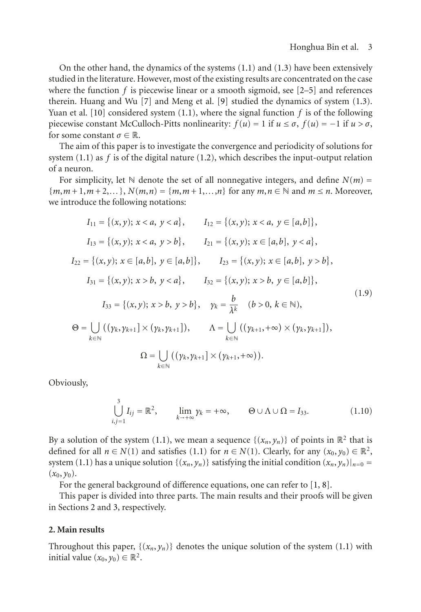On the other hand, the dynamics of the systems [\(1.1\)](#page-0-0) and [\(1.3\)](#page-0-2) have been extensively studied in the literature. However, most of the existing results are concentrated on the case where the function  $f$  is piecewise linear or a smooth sigmoid, see  $[2-5]$  $[2-5]$  and references therein. Huang and Wu [\[7](#page-9-2)] and Meng et al. [\[9](#page-9-5)] studied the dynamics of system [\(1.3\)](#page-0-2). Yuan et al. [\[10\]](#page-9-6) considered system  $(1.1)$ , where the signal function  $f$  is of the following piecewise constant McCulloch-Pitts nonlinearity:  $f(u) = 1$  if  $u \le \sigma$ ,  $f(u) = -1$  if  $u > \sigma$ , for some constant  $\sigma \in \mathbb{R}$ .

The aim of this paper is to investigate the convergence and periodicity of solutions for system [\(1.1\)](#page-0-0) as *f* is of the digital nature [\(1.2\)](#page-0-1), which describes the input-output relation of a neuron.

For simplicity, let  $\mathbb N$  denote the set of all nonnegative integers, and define  $N(m)$  =  ${m,m+1,m+2,...}$ ,  $N(m,n) = {m,m+1,...,n}$  for any  $m,n \in \mathbb{N}$  and  $m \leq n$ . Moreover, we introduce the following notations:

$$
I_{11} = \{(x, y); x < a, y < a\}, \qquad I_{12} = \{(x, y); x < a, y \in [a, b]\},
$$
\n
$$
I_{13} = \{(x, y); x < a, y > b\}, \qquad I_{21} = \{(x, y); x \in [a, b], y < a\},
$$
\n
$$
I_{22} = \{(x, y); x \in [a, b], y \in [a, b]\}, \qquad I_{23} = \{(x, y); x \in [a, b], y > b\},
$$
\n
$$
I_{31} = \{(x, y); x > b, y < a\}, \qquad I_{32} = \{(x, y); x > b, y \in [a, b]\},
$$
\n
$$
I_{33} = \{(x, y); x > b, y > b\}, \qquad \gamma_k = \frac{b}{\lambda^k} \quad (b > 0, k \in \mathbb{N}),
$$
\n
$$
\Theta = \bigcup_{k \in \mathbb{N}} ((\gamma_k, \gamma_{k+1}] \times (\gamma_k, \gamma_{k+1}]), \qquad \Lambda = \bigcup_{k \in \mathbb{N}} ((\gamma_{k+1}, +\infty) \times (\gamma_k, \gamma_{k+1}]),
$$
\n
$$
\Omega = \bigcup_{k \in \mathbb{N}} ((\gamma_k, \gamma_{k+1}] \times (\gamma_{k+1}, +\infty)).
$$
\n(1.9)

Obviously,

$$
\bigcup_{i,j=1}^{3} I_{ij} = \mathbb{R}^2, \qquad \lim_{k \to +\infty} \gamma_k = +\infty, \qquad \Theta \cup \Lambda \cup \Omega = I_{33}.
$$
 (1.10)

By a solution of the system [\(1.1\)](#page-0-0), we mean a sequence  $\{(x_n, y_n)\}\$  of points in  $\mathbb{R}^2$  that is defined for all  $n \in N(1)$  and satisfies [\(1.1\)](#page-0-0) for  $n \in N(1)$ . Clearly, for any  $(x_0, y_0) \in \mathbb{R}^2$ , system [\(1.1\)](#page-0-0) has a unique solution  $\{(x_n, y_n)\}\$  satisfying the initial condition  $(x_n, y_n)|_{n=0}$  =  $(x_0, y_0)$ .

For the general background of difference equations, one can refer to [\[1](#page-9-7), [8](#page-9-8)].

This paper is divided into three parts. The main results and their proofs will be given in Sections [2](#page-2-0) and [3,](#page-5-0) respectively.

## <span id="page-2-0"></span>**2. Main results**

<span id="page-2-1"></span>Throughout this paper,  $\{(x_n, y_n)\}$  denotes the unique solution of the system [\(1.1\)](#page-0-0) with initial value  $(x_0, y_0) \in \mathbb{R}^2$ .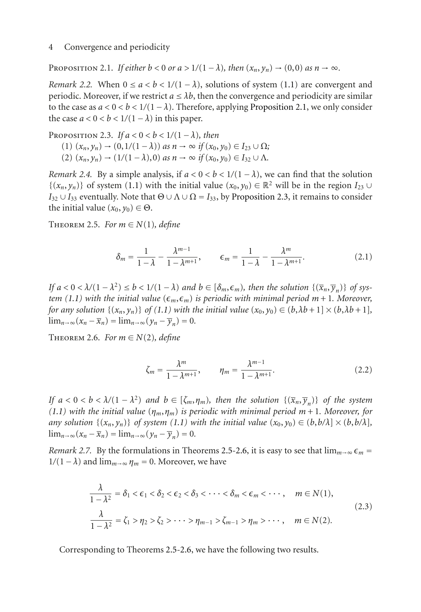PROPOSITION 2.1. *If either*  $b < 0$  *or*  $a > 1/(1 - \lambda)$ *, then*  $(x_n, y_n) \rightarrow (0,0)$  *as*  $n \rightarrow \infty$ *.* 

*Remark 2.2.* When  $0 \le a < b < 1/(1 - \lambda)$ , solutions of system [\(1.1\)](#page-0-0) are convergent and periodic. Moreover, if we restrict  $a \leq \lambda b$ , then the convergence and periodicity are similar to the case as  $a < 0 < b < 1/(1 - \lambda)$ . Therefore, applying [Proposition 2.1,](#page-2-1) we only consider the case  $a < 0 < b < 1/(1 - \lambda)$  in this paper.

<span id="page-3-0"></span>PROPOSITION 2.3. *If*  $a < 0 < b < 1/(1 - \lambda)$ , then (1)  $(x_n, y_n)$  →  $(0, 1/(1 - \lambda))$  *as*  $n \to ∞$  *if*  $(x_0, y_0) \in I_{23} \cup \Omega$ *;* (2)  $(x_n, y_n)$  →  $(1/(1 - \lambda), 0)$  *as*  $n \to \infty$  *if*  $(x_0, y_0) \in I_{32} \cup \Lambda$ .

*Remark 2.4.* By a simple analysis, if  $a < 0 < b < 1/(1 - \lambda)$ , we can find that the solution { $(x_n, y_n)$ } of system [\(1.1\)](#page-0-0) with the initial value  $(x_0, y_0) \in \mathbb{R}^2$  will be in the region  $I_{23} \cup$  $I_{32} \cup I_{33}$  eventually. Note that  $\Theta \cup \Lambda \cup \Omega = I_{33}$ , by [Proposition 2.3,](#page-3-0) it remains to consider the initial value  $(x_0, y_0) \in \Theta$ .

<span id="page-3-1"></span>THEOREM 2.5. For  $m \in N(1)$ , define

$$
\delta_m = \frac{1}{1 - \lambda} - \frac{\lambda^{m-1}}{1 - \lambda^{m+1}}, \qquad \epsilon_m = \frac{1}{1 - \lambda} - \frac{\lambda^m}{1 - \lambda^{m+1}}.
$$
 (2.1)

*If*  $a < 0 < \lambda/(1 - \lambda^2) \le b < 1/(1 - \lambda)$  and  $b \in [\delta_m, \epsilon_m)$ , then the solution  $\{(\overline{x}_n, \overline{y}_n)\}\$  of sys*tem* [\(1.1\)](#page-0-0) with the initial value  $(\epsilon_m, \epsilon_m)$  is periodic with minimal period m + 1. Moreover, *for any solution*  $\{(x_n, y_n)\}\$  *of*  $(1.1)$  *with the initial value*  $(x_0, y_0) \in (b, \lambda b + 1] \times (b, \lambda b + 1]$ *,*  $\lim_{n\to\infty}(x_n-\overline{x}_n)=\lim_{n\to\infty}(\gamma_n-\overline{\gamma}_n)=0.$ 

<span id="page-3-2"></span>THEOREM 2.6. For  $m \in N(2)$ , define

$$
\zeta_m = \frac{\lambda^m}{1 - \lambda^{m+1}}, \qquad \eta_m = \frac{\lambda^{m-1}}{1 - \lambda^{m+1}}.
$$
\n(2.2)

*If*  $a < 0 < b < \lambda/(1 - \lambda^2)$  *and*  $b \in [\zeta_m, \eta_m)$ *, then the solution*  $\{(\overline{x}_n, \overline{y}_n)\}$  *of the system [\(1.1\)](#page-0-0) with the initial value* (*ηm*,*ηm*) *is periodic with minimal period m* + 1*. Moreover, for any solution*  $\{(x_n, y_n)\}$  *of system* [\(1.1\)](#page-0-0) *with the initial value*  $(x_0, y_0) \in (b, b/\lambda] \times (b, b/\lambda]$ ,  $\lim_{n\to\infty} (x_n - \overline{x}_n) = \lim_{n\to\infty} (y_n - \overline{y}_n) = 0.$ 

*Remark 2.7.* By the formulations in Theorems [2.5](#page-3-1)[-2.6,](#page-3-2) it is easy to see that  $\lim_{m\to\infty} \epsilon_m =$  $1/(1 - \lambda)$  and  $\lim_{m \to \infty} \eta_m = 0$ . Moreover, we have

$$
\frac{\lambda}{1-\lambda^2} = \delta_1 < \epsilon_1 < \delta_2 < \epsilon_2 < \delta_3 < \cdots < \delta_m < \epsilon_m < \cdots, \quad m \in N(1),
$$
\n
$$
\frac{\lambda}{1-\lambda^2} = \zeta_1 > \eta_2 > \zeta_2 > \cdots > \eta_{m-1} > \zeta_{m-1} > \eta_m > \cdots, \quad m \in N(2).
$$
\n
$$
(2.3)
$$

<span id="page-3-3"></span>Corresponding to Theorems [2.5-](#page-3-1)[2.6,](#page-3-2) we have the following two results.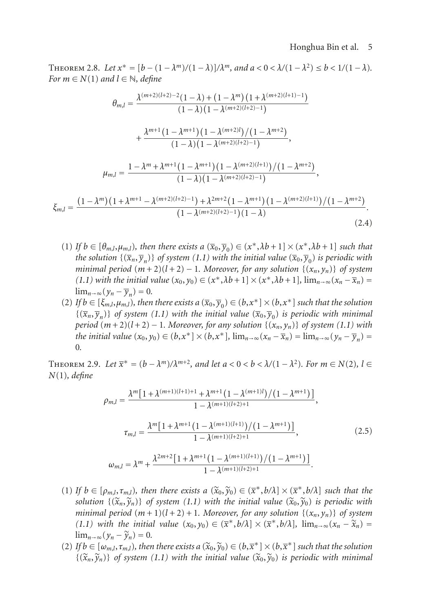#### Honghua Bin et al. 5

THEOREM 2.8. Let  $x^* = [b - (1 - \lambda^m)/(1 - \lambda)]/\lambda^m$ , and  $a < 0 < \lambda/(1 - \lambda^2) \le b < 1/(1 - \lambda)$ . *For*  $m \in N(1)$  *and*  $l \in \mathbb{N}$ *, define* 

$$
\theta_{m,l} = \frac{\lambda^{(m+2)(l+2)-2}(1-\lambda) + (1-\lambda^m) (1+\lambda^{(m+2)(l+1)-1})}{(1-\lambda)(1-\lambda^{(m+2)(l+2)-1})} + \frac{\lambda^{m+1} (1-\lambda^{m+1}) (1-\lambda^{(m+2)l})/(1-\lambda^{m+2})}{(1-\lambda)(1-\lambda^{(m+2)(l+2)-1})},
$$
\n
$$
\mu_{m,l} = \frac{1-\lambda^m + \lambda^{m+1} (1-\lambda^{m+1}) (1-\lambda^{(m+2)(l+1)})/(1-\lambda^{m+2})}{(1-\lambda)(1-\lambda^{(m+2)(l+2)-1})},
$$
\n
$$
\xi_{m,l} = \frac{(1-\lambda^m) (1+\lambda^{m+1}-\lambda^{(m+2)(l+2)-1}) + \lambda^{2m+2} (1-\lambda^{m+1}) (1-\lambda^{(m+2)(l+1)})/(1-\lambda^{m+2})}{(1-\lambda^{(m+2)(l+2)-1})(1-\lambda)}.
$$
\n(2.4)

- (1) *If*  $b \in [\theta_{m,l}, \mu_{m,l})$ *, then there exists a*  $(\overline{x}_0, \overline{y}_0) \in (x^*, \lambda b + 1] \times (x^*, \lambda b + 1]$  *such that the solution*  $\{(\overline{x}_n, \overline{y}_n)\}$  *of system* [\(1.1\)](#page-0-0) *with the initial value*  $(\overline{x}_0, \overline{y}_0)$  *is periodic with minimal period*  $(m+2)(l+2) - 1$ *. Moreover, for any solution*  $\{(x_n, y_n)\}$  *of system [\(1.1\)](#page-0-0)* with the initial value  $(x_0, y_0) \in (x^*, \lambda b + 1] \times (x^*, \lambda b + 1]$ ,  $\lim_{n \to \infty} (x_n - \overline{x}_n) =$  $\lim_{n\to\infty} (y_n - \overline{y}_n) = 0.$
- (2) *If*  $b \in [\xi_{m,l}, \mu_{m,l})$ , then there exists a  $(\overline{x}_0, \overline{y}_0) \in (b, x^*] \times (b, x^*]$  such that the solution  $\{(\overline{x}_n, \overline{y}_n)\}\$  of system [\(1.1\)](#page-0-0) with the initial value  $(\overline{x}_0, \overline{y}_0)$  is periodic with minimal *period*  $(m+2)(l+2) - 1$ *. Moreover, for any solution*  $\{(x_n, y_n)\}$  *of system* [\(1.1\)](#page-0-0) *with the initial value*  $(x_0, y_0) \in (b, x^*] \times (b, x^*]$ ,  $\lim_{n \to \infty} (x_n - \overline{x}_n) = \lim_{n \to \infty} (y_n - \overline{y}_n) =$ 0*.*

<span id="page-4-0"></span>THEOREM 2.9. Let  $\overline{x}^* = (b - \lambda^m)/\lambda^{m+2}$ , and let  $a < 0 < b < \lambda/(1 - \lambda^2)$ . For  $m \in N(2)$ ,  $l \in$ *N*(1)*, define*

$$
\rho_{m,l} = \frac{\lambda^m \left[1 + \lambda^{(m+1)(l+1)+1} + \lambda^{m+1} \left(1 - \lambda^{(m+1)l}\right) / \left(1 - \lambda^{m+1}\right)\right]}{1 - \lambda^{(m+1)(l+2)+1}},
$$
\n
$$
\tau_{m,l} = \frac{\lambda^m \left[1 + \lambda^{m+1} \left(1 - \lambda^{(m+1)(l+1)}\right) / \left(1 - \lambda^{m+1}\right)\right]}{1 - \lambda^{(m+1)(l+2)+1}},
$$
\n
$$
\omega_{m,l} = \lambda^m + \frac{\lambda^{2m+2} \left[1 + \lambda^{m+1} \left(1 - \lambda^{(m+1)(l+1)}\right) / \left(1 - \lambda^{m+1}\right)\right]}{1 - \lambda^{(m+1)(l+2)+1}}.
$$
\n(2.5)

- (1) If  $b \in [\rho_{m,l}, \tau_{m,l})$ , then there exists a  $(\tilde{x}_0, \tilde{y}_0) \in (\bar{x}^*, b/\lambda] \times (\bar{x}^*, b/\lambda]$  such that the *solution*  $\{(\widetilde{\mathbf{x}}_n, \widetilde{\mathbf{y}}_n)\}$  *of system* [\(1.1\)](#page-0-0) with the initial value  $(\widetilde{\mathbf{x}}_0, \widetilde{\mathbf{y}}_0)$  is periodic with *minimal period*  $(m + 1)(l + 2) + 1$ *. Moreover, for any solution*  $\{(x_n, y_n)\}$  *of system [\(1.1\)](#page-0-0)* with the initial value  $(x_0, y_0) \in (\overline{x}^*, b/\lambda] \times (\overline{x}^*, b/\lambda]$ ,  $\lim_{n \to \infty} (x_n - \widetilde{x}_n) =$  $\lim_{n\to\infty} (y_n - \widetilde{y}_n) = 0.$
- $(2)$  *If*  $b \in [\omega_{m,l}, \tau_{m,l})$ , then there exists a  $(\widetilde{x}_0, \widetilde{y}_0) \in (b, \overline{x}^*] \times (b, \overline{x}^*]$  such that the solution  $\{(\tilde{x}_n, \tilde{y}_n)\}\$  of system [\(1.1\)](#page-0-0) with the initial value  $(\tilde{x}_0, \tilde{y}_0)$  is periodic with minimal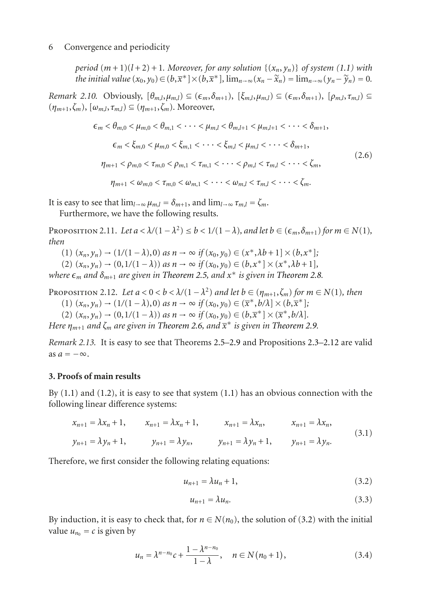*period*  $(m+1)(l+2) + 1$ *. Moreover, for any solution*  $\{(x_n, y_n)\}$  *of system* [\(1.1\)](#page-0-0) with *the initial value*  $(x_0, y_0) \in (b, \overline{x}^*] \times (b, \overline{x}^*]$ ,  $\lim_{n \to \infty} (x_n - \widetilde{x}_n) = \lim_{n \to \infty} (y_n - \widetilde{y}_n) = 0$ .

*Remark 2.10.* Obviously,  $[\theta_{m,l}, \mu_{m,l}) \subseteq (\epsilon_m, \delta_{m+1}), [\xi_{m,l}, \mu_{m,l}) \subseteq (\epsilon_m, \delta_{m+1}), [\rho_{m,l}, \tau_{m,l}) \subseteq$  $(\eta_{m+1}, \zeta_m)$ ,  $[\omega_{m,l}, \tau_{m,l}) \subseteq (\eta_{m+1}, \zeta_m)$ . Moreover,

$$
\epsilon_m < \theta_{m,0} < \mu_{m,0} < \theta_{m,1} < \cdots < \mu_{m,l} < \theta_{m,l+1} < \mu_{m,l+1} < \cdots < \delta_{m+1},
$$
\n
$$
\epsilon_m < \xi_{m,0} < \mu_{m,0} < \xi_{m,1} < \cdots < \xi_{m,l} < \mu_{m,l} < \cdots < \delta_{m+1},
$$
\n
$$
\eta_{m+1} < \rho_{m,0} < \tau_{m,0} < \rho_{m,1} < \tau_{m,1} < \cdots < \rho_{m,l} < \tau_{m,l} < \cdots < \zeta_m,
$$
\n
$$
\eta_{m+1} < \omega_{m,0} < \tau_{m,0} < \omega_{m,1} < \cdots < \omega_{m,l} < \tau_{m,l} < \cdots < \zeta_m.
$$
\n(2.6)

It is easy to see that  $\lim_{l\to\infty} \mu_{m,l} = \delta_{m+1}$ , and  $\lim_{l\to\infty} \tau_{m,l} = \zeta_m$ .

Furthermore, we have the following results.

PROPOSITION 2.11. Let  $a < \lambda/(1 - \lambda^2) \le b < 1/(1 - \lambda)$ , and let  $b \in (\epsilon_m, \delta_{m+1})$  for  $m \in N(1)$ , *then*

- (1)  $(x_n, y_n)$  →  $(1/(1 \lambda), 0)$  *as*  $n \to ∞$  *if*  $(x_0, y_0) \in (x^*, \lambda b + 1] \times (b, x^*);$
- (2)  $(x_n, y_n)$  →  $(0, 1/(1 \lambda))$  *as*  $n \to ∞$  *if*  $(x_0, y_0) \in (b, x^*] \times (x^*, \lambda b + 1]$ ,

*where* ε<sub>m</sub> and δ<sub>m+1</sub> are given in [Theorem 2.5,](#page-3-1) and x<sup>∗</sup> is given in [Theorem 2.8.](#page-3-3)

<span id="page-5-1"></span>PROPOSITION 2.12. Let  $a < 0 < b < \lambda/(1 - \lambda^2)$  and let  $b \in (\eta_{m+1}, \zeta_m)$  for  $m \in N(1)$ , then  $(1)$   $(x_n, y_n)$  →  $(1/(1 - \lambda), 0)$  *as*  $n \to ∞$  *if*  $(x_0, y_0) \in (\bar{x}^*, b/\lambda] \times (b, \bar{x}^*);$ 

 $(2)$   $(x_n, y_n) \to (0, 1/(1 - \lambda))$  *as*  $n \to \infty$  *if*  $(x_0, y_0) \in (b, \overline{x}^*] \times (\overline{x}^*, b/\lambda)$ .

*Here ηm*+1 *and ζm are given in [Theorem 2.6,](#page-3-2) and x*<sup>∗</sup> *is given in [Theorem 2.9.](#page-4-0)*

*Remark 2.13.* It is easy to see that Theorems [2.5](#page-3-1)[–2.9](#page-4-0) and Propositions [2.3](#page-3-0)[–2.12](#page-5-1) are valid as  $a = -\infty$ .

## <span id="page-5-0"></span>**3. Proofs of main results**

By  $(1.1)$  and  $(1.2)$ , it is easy to see that system  $(1.1)$  has an obvious connection with the following linear difference systems:

$$
x_{n+1} = \lambda x_n + 1, \t x_{n+1} = \lambda x_n + 1, \t x_{n+1} = \lambda x_n, \t x_{n+1} = \lambda x_n,
$$
  

$$
y_{n+1} = \lambda y_n + 1, \t y_{n+1} = \lambda y_n, \t y_{n+1} = \lambda y_n + 1, \t y_{n+1} = \lambda y_n.
$$

$$
(3.1)
$$

Therefore, we first consider the following relating equations:

$$
u_{n+1} = \lambda u_n + 1, \tag{3.2}
$$

<span id="page-5-4"></span><span id="page-5-3"></span><span id="page-5-2"></span>
$$
u_{n+1} = \lambda u_n. \tag{3.3}
$$

By induction, it is easy to check that, for  $n \in N(n_0)$ , the solution of [\(3.2\)](#page-5-2) with the initial value  $u_{n_0} = c$  is given by

$$
u_n = \lambda^{n-n_0} c + \frac{1 - \lambda^{n-n_0}}{1 - \lambda}, \quad n \in N(n_0 + 1),
$$
 (3.4)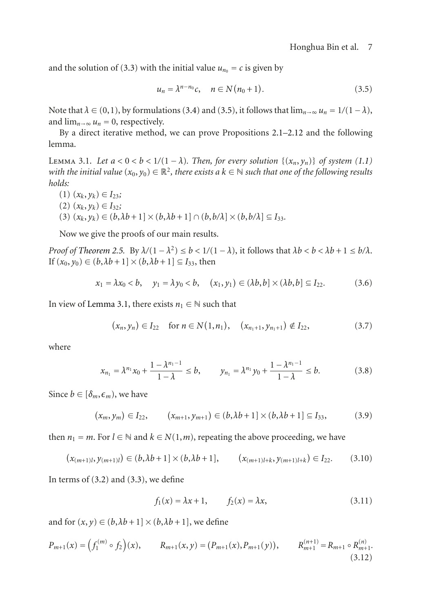and the solution of [\(3.3\)](#page-5-3) with the initial value  $u_{n_0} = c$  is given by

<span id="page-6-0"></span>
$$
u_n = \lambda^{n-n_0} c, \quad n \in N(n_0+1). \tag{3.5}
$$

Note that  $\lambda \in (0,1)$ , by formulations [\(3.4\)](#page-5-4) and [\(3.5\)](#page-6-0), it follows that  $\lim_{n\to\infty} u_n = 1/(1-\lambda)$ , and  $\lim_{n\to\infty} u_n = 0$ , respectively.

<span id="page-6-1"></span>By a direct iterative method, we can prove Propositions [2.1–](#page-2-1)[2.12](#page-5-1) and the following lemma.

LEMMA 3.1. Let  $a < 0 < b < 1/(1 - \lambda)$ . Then, for every solution  $\{(x_n, y_n)\}$  of system [\(1.1\)](#page-0-0) *with the initial value*  $(x_0, y_0) \in \mathbb{R}^2$ , there exists a  $k \in \mathbb{N}$  such that one of the following results *holds:*

- $(1)$   $(x_k, y_k) \in I_{23}$ ;
- $(2)$   $(x_k, y_k)$  ∈  $I_{32}$ ;
- (3)  $(x_k, y_k) \in (b, \lambda b + 1] \times (b, \lambda b + 1] \cap (b, b/\lambda] \times (b, b/\lambda] \subseteq I_{33}$ .

Now we give the proofs of our main results.

*Proof of [Theorem 2.5.](#page-3-1)* By  $\lambda/(1 - \lambda^2) \le b < 1/(1 - \lambda)$ , it follows that  $\lambda b < b < \lambda b + 1 \le b/\lambda$ . If  $(x_0, y_0) \in (b, \lambda b + 1] \times (b, \lambda b + 1] \subseteq I_{33}$ , then

$$
x_1 = \lambda x_0 < b, \quad y_1 = \lambda y_0 < b, \quad (x_1, y_1) \in (\lambda b, b] \times (\lambda b, b] \subseteq I_{22}.\tag{3.6}
$$

In view of [Lemma 3.1,](#page-6-1) there exists  $n_1 \in \mathbb{N}$  such that

$$
(x_n, y_n) \in I_{22} \quad \text{for } n \in N(1, n_1), \quad (x_{n_1+1}, y_{n_1+1}) \notin I_{22}, \tag{3.7}
$$

where

$$
x_{n_1} = \lambda^{n_1} x_0 + \frac{1 - \lambda^{n_1 - 1}}{1 - \lambda} \le b, \qquad y_{n_1} = \lambda^{n_1} y_0 + \frac{1 - \lambda^{n_1 - 1}}{1 - \lambda} \le b.
$$
 (3.8)

Since  $b \in [\delta_m, \epsilon_m)$ , we have

$$
(x_m, y_m) \in I_{22}, \qquad (x_{m+1}, y_{m+1}) \in (b, \lambda b + 1] \times (b, \lambda b + 1] \subseteq I_{33}, \tag{3.9}
$$

then  $n_1 = m$ . For  $l \in \mathbb{N}$  and  $k \in N(1,m)$ , repeating the above proceeding, we have

$$
(x_{(m+1)l}, y_{(m+1)l}) \in (b, \lambda b + 1] \times (b, \lambda b + 1], \qquad (x_{(m+1)l+k}, y_{(m+1)l+k}) \in I_{22}.\tag{3.10}
$$

In terms of  $(3.2)$  and  $(3.3)$ , we define

<span id="page-6-2"></span>
$$
f_1(x) = \lambda x + 1,
$$
  $f_2(x) = \lambda x,$  (3.11)

and for  $(x, y) \in (b, \lambda b + 1] \times (b, \lambda b + 1]$ , we define

$$
P_{m+1}(x) = \left(f_1^{(m)} \circ f_2\right)(x), \qquad R_{m+1}(x, y) = \left(P_{m+1}(x), P_{m+1}(y)\right), \qquad R_{m+1}^{(n+1)} = R_{m+1} \circ R_{m+1}^{(n)}.\tag{3.12}
$$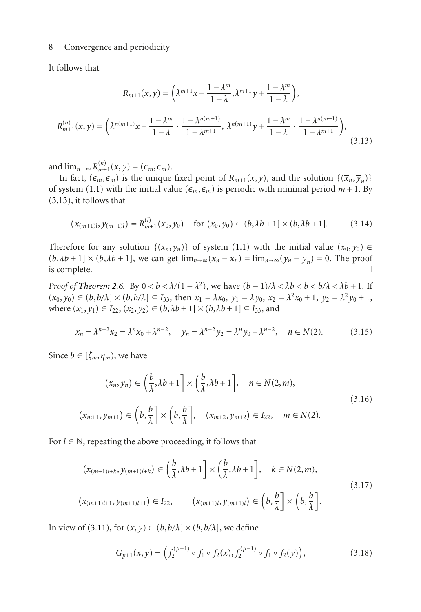#### 8 Convergence and periodicity

It follows that

<span id="page-7-0"></span>
$$
R_{m+1}(x, y) = \left(\lambda^{m+1}x + \frac{1 - \lambda^m}{1 - \lambda}, \lambda^{m+1}y + \frac{1 - \lambda^m}{1 - \lambda}\right),
$$
  

$$
R_{m+1}^{(n)}(x, y) = \left(\lambda^{n(m+1)}x + \frac{1 - \lambda^m}{1 - \lambda} \cdot \frac{1 - \lambda^{n(m+1)}}{1 - \lambda^{m+1}}, \lambda^{n(m+1)}y + \frac{1 - \lambda^m}{1 - \lambda} \cdot \frac{1 - \lambda^{n(m+1)}}{1 - \lambda^{m+1}}\right),
$$
(3.13)

and  $\lim_{n\to\infty} R_{m+1}^{(n)}(x, y) = (\epsilon_m, \epsilon_m)$ .

In fact,  $(\epsilon_m, \epsilon_m)$  is the unique fixed point of  $R_{m+1}(x, y)$ , and the solution  $\{(\overline{x}_n, \overline{y}_n)\}$ of system [\(1.1\)](#page-0-0) with the initial value ( $\epsilon_m$ , $\epsilon_m$ ) is periodic with minimal period  $m + 1$ . By [\(3.13\)](#page-7-0), it follows that

$$
(x_{(m+1)l}, y_{(m+1)l}) = R_{m+1}^{(l)}(x_0, y_0) \quad \text{for } (x_0, y_0) \in (b, \lambda b + 1] \times (b, \lambda b + 1]. \tag{3.14}
$$

Therefore for any solution  $\{(x_n, y_n)\}\$  of system [\(1.1\)](#page-0-0) with the initial value  $(x_0, y_0) \in$  $(b, \lambda b + 1] \times (b, \lambda b + 1]$ , we can get  $\lim_{n \to \infty} (x_n - \overline{x}_n) = \lim_{n \to \infty} (y_n - \overline{y}_n) = 0$ . The proof is complete.

*Proof of [Theorem 2.6.](#page-3-2)* By  $0 < b < \lambda/(1 - \lambda^2)$ , we have  $(b - 1)/\lambda < \lambda b < b < b/\lambda < \lambda b + 1$ . If  $(x_0, y_0) \in (b, b/\lambda] \times (b, b/\lambda] \subseteq I_{33}$ , then  $x_1 = \lambda x_0$ ,  $y_1 = \lambda y_0$ ,  $x_2 = \lambda^2 x_0 + 1$ ,  $y_2 = \lambda^2 y_0 + 1$ , where  $(x_1, y_1) \in I_{22}$ ,  $(x_2, y_2) \in (b, \lambda b + 1] \times (b, \lambda b + 1] \subseteq I_{33}$ , and

$$
x_n = \lambda^{n-2} x_2 = \lambda^n x_0 + \lambda^{n-2}, \quad y_n = \lambda^{n-2} y_2 = \lambda^n y_0 + \lambda^{n-2}, \quad n \in N(2). \tag{3.15}
$$

Since  $b \in [\zeta_m, \eta_m)$ , we have

 $\overline{(}$ 

$$
(x_n, y_n) \in \left(\frac{b}{\lambda}, \lambda b + 1\right] \times \left(\frac{b}{\lambda}, \lambda b + 1\right], \quad n \in N(2, m),
$$
  

$$
(3.16)
$$
  

$$
(x_{m+1}, y_{m+1}) \in \left(b, \frac{b}{\lambda}\right] \times \left(b, \frac{b}{\lambda}\right], \quad (x_{m+2}, y_{m+2}) \in I_{22}, \quad m \in N(2).
$$

For  $l \in \mathbb{N}$ , repeating the above proceeding, it follows that

$$
(x_{(m+1)l+k}, y_{(m+1)l+k}) \in \left(\frac{b}{\lambda}, \lambda b + 1\right] \times \left(\frac{b}{\lambda}, \lambda b + 1\right], \quad k \in N(2, m),
$$
  

$$
(x_{(m+1)l+1}, y_{(m+1)l+1}) \in I_{22}, \qquad (x_{(m+1)l}, y_{(m+1)l}) \in \left(b, \frac{b}{\lambda}\right] \times \left(b, \frac{b}{\lambda}\right].
$$
 (3.17)

In view of [\(3.11\)](#page-6-2), for  $(x, y) \in (b, b/\lambda] \times (b, b/\lambda]$ , we define

$$
G_{p+1}(x,y) = \left(f_2^{(p-1)} \circ f_1 \circ f_2(x), f_2^{(p-1)} \circ f_1 \circ f_2(y)\right),\tag{3.18}
$$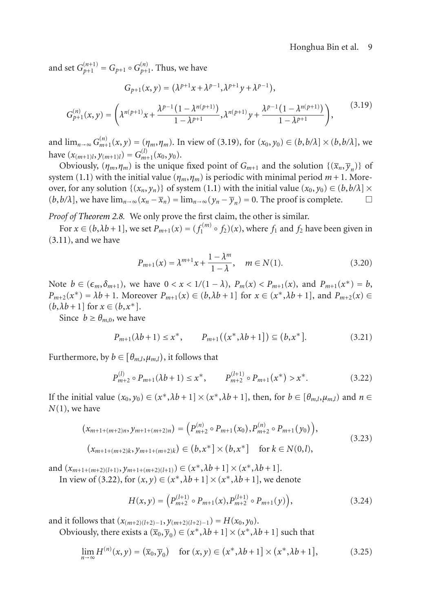and set  $G_{p+1}^{(n+1)} = G_{p+1} \circ G_{p+1}^{(n)}$ . Thus, we have

<span id="page-8-0"></span>
$$
G_{p+1}(x,y) = (\lambda^{p+1}x + \lambda^{p-1}, \lambda^{p+1}y + \lambda^{p-1}),
$$
  
\n
$$
G_{p+1}^{(n)}(x,y) = \left(\lambda^{n(p+1)}x + \frac{\lambda^{p-1}(1 - \lambda^{n(p+1)})}{1 - \lambda^{p+1}}, \lambda^{n(p+1)}y + \frac{\lambda^{p-1}(1 - \lambda^{n(p+1)})}{1 - \lambda^{p+1}}\right),
$$
\n(3.19)

and  $\lim_{n\to\infty} G_{m+1}^{(n)}(x, y) = (n, n, \eta_m)$ . In view of [\(3.19\)](#page-8-0), for  $(x_0, y_0) \in (b, b/\lambda] \times (b, b/\lambda)$ , we have  $(x_{(m+1)l}, y_{(m+1)l}) = G_{m+1}^{(l)}(x_0, y_0)$ .

Obviously,  $(\eta_m, \eta_m)$  is the unique fixed point of  $G_{m+1}$  and the solution  $\{(\overline{x}_n, \overline{y}_n)\}$  of system [\(1.1\)](#page-0-0) with the initial value ( $\eta_m$ , $\eta_m$ ) is periodic with minimal period  $m+1$ . Moreover, for any solution  $\{(x_n, y_n)\}\)$  of system [\(1.1\)](#page-0-0) with the initial value  $(x_0, y_0) \in (b, b/\lambda] \times$  $(b, b/\lambda)$ , we have  $\lim_{n\to\infty}(x_n - \overline{x}_n) = \lim_{n\to\infty}(y_n - \overline{y}_n) = 0$ . The proof is complete.  $\Box$ 

*Proof of [Theorem 2.8.](#page-3-3)* We only prove the first claim, the other is similar.

For  $x \in (b, \lambda b + 1]$ , we set  $P_{m+1}(x) = (f_1^{(m)} \circ f_2)(x)$ , where  $f_1$  and  $f_2$  have been given in  $(3.11)$ , and we have

$$
P_{m+1}(x) = \lambda^{m+1} x + \frac{1 - \lambda^m}{1 - \lambda}, \quad m \in N(1).
$$
 (3.20)

Note  $b \in (\epsilon_m, \delta_{m+1})$ , we have  $0 < x < 1/(1 - \lambda)$ ,  $P_m(x) < P_{m+1}(x)$ , and  $P_{m+1}(x^*) = b$ ,  $P_{m+2}(x^*) = \lambda b + 1$ . Moreover  $P_{m+1}(x) \in (b, \lambda b + 1]$  for  $x \in (x^*, \lambda b + 1]$ , and  $P_{m+2}(x) \in$  $(b, \lambda b + 1]$  for  $x \in (b, x^*]$ .

Since  $b \geq \theta_{m,0}$ , we have

$$
P_{m+1}(\lambda b + 1) \le x^*, \qquad P_{m+1}((x^*, \lambda b + 1]) \subseteq (b, x^*]. \tag{3.21}
$$

Furthermore, by  $b \in [\theta_{m,l}, \mu_{m,l})$ , it follows that

<span id="page-8-1"></span>
$$
P_{m+2}^{(l)} \circ P_{m+1}(\lambda b + 1) \le x^*, \qquad P_{m+2}^{(l+1)} \circ P_{m+1}(x^*) > x^*.
$$
 (3.22)

If the initial value  $(x_0, y_0) \in (x^*, \lambda b + 1] \times (x^*, \lambda b + 1]$ , then, for  $b \in [\theta_{m,l}, \mu_{m,l})$  and  $n \in$ *N*(1), we have

$$
(x_{m+1+(m+2)n}, y_{m+1+(m+2)n}) = (P_{m+2}^{(n)} \circ P_{m+1}(x_0), P_{m+2}^{(n)} \circ P_{m+1}(y_0)),(x_{m+1+(m+2)k}, y_{m+1+(m+2)k}) \in (b, x^*] \times (b, x^*] \text{ for } k \in N(0, l),
$$
\n(3.23)

and  $(x_{m+1+(m+2)(l+1)}, y_{m+1+(m+2)(l+1)}) \in (x^*, \lambda b + 1] \times (x^*, \lambda b + 1].$ 

In view of [\(3.22\)](#page-8-1), for  $(x, y) \in (x^*, \lambda b + 1] \times (x^*, \lambda b + 1]$ , we denote

$$
H(x,y) = \left( P_{m+2}^{(l+1)} \circ P_{m+1}(x), P_{m+2}^{(l+1)} \circ P_{m+1}(y) \right), \tag{3.24}
$$

and it follows that  $(x_{(m+2)(l+2)-1}, y_{(m+2)(l+2)-1}) = H(x_0, y_0)$ .

Obviously, there exists a  $(\overline{x}_0, \overline{y}_0) \in (x^*, \lambda b + 1] \times (x^*, \lambda b + 1]$  such that

$$
\lim_{n \to \infty} H^{(n)}(x, y) = (\overline{x}_0, \overline{y}_0) \quad \text{for } (x, y) \in (x^*, \lambda b + 1] \times (x^*, \lambda b + 1], \tag{3.25}
$$